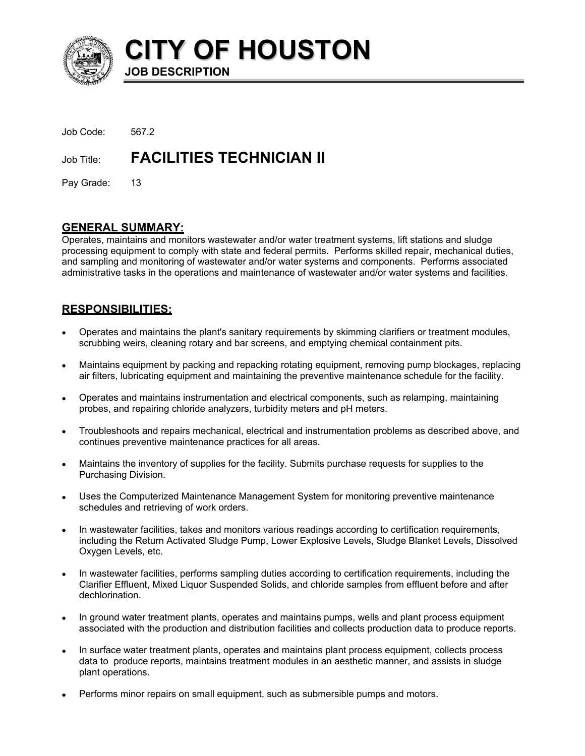

**CITY OF HOUSTON JOB DESCRIPTION** 

| Job Code: | 567.2                                      |
|-----------|--------------------------------------------|
|           | <b>Job Title: FACILITIES TECHNICIAN II</b> |

Pay Grade: 13

# **GENERAL SUMMARY:**

Operates, maintains and monitors wastewater and/or water treatment systems, lift stations and sludge processing equipment to comply with state and federal permits. Performs skilled repair, mechanical duties, and sampling and monitoring of wastewater and/or water systems and components. Performs associated administrative tasks in the operations and maintenance of wastewater and/or water systems and facilities.

# **RESPONSIBILITIES:**

- Operates and maintains the plant's sanitary requirements by skimming clarifiers or treatment modules, scrubbing weirs, cleaning rotary and bar screens, and emptying chemical containment pits. •
- Maintains equipment by packing and repacking rotating equipment, removing pump blockages, replacing air filters, lubricating equipment and maintaining the preventive maintenance schedule for the facility.
- Operates and maintains instrumentation and electrical components, such as relamping, maintaining probes, and repairing chloride analyzers, turbidity meters and pH meters.
- Troubleshoots and repairs mechanical, electrical and instrumentation problems as described above, and continues preventive maintenance practices for all areas.
- Maintains the inventory of supplies for the facility. Submits purchase requests for supplies to the Purchasing Division.
- Uses the Computerized Maintenance Management System for monitoring preventive maintenance schedules and retrieving of work orders.
- In wastewater facilities, takes and monitors various readings according to certification requirements, including the Return Activated Sludge Pump, Lower Explosive Levels, Sludge Blanket Levels, Dissolved Oxygen Levels, etc.
- In wastewater facilities, performs sampling duties according to certification requirements, including the Clarifier Effluent, Mixed Liquor Suspended Solids, and chloride samples from effluent before and after dechlorination.
- In ground water treatment plants, operates and maintains pumps, wells and plant process equipment associated with the production and distribution facilities and collects production data to produce reports.
- In surface water treatment plants, operates and maintains plant process equipment, collects process data to produce reports, maintains treatment modules in an aesthetic manner, and assists in sludge plant operations.
- Performs minor repairs on small equipment, such as submersible pumps and motors.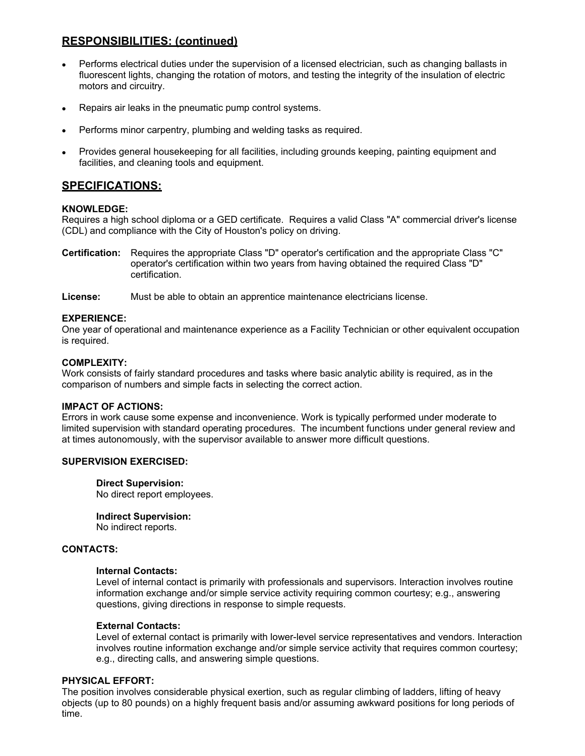# **RESPONSIBILITIES: (continued)**

- Performs electrical duties under the supervision of a licensed electrician, such as changing ballasts in fluorescent lights, changing the rotation of motors, and testing the integrity of the insulation of electric motors and circuitry.
- Repairs air leaks in the pneumatic pump control systems.
- Performs minor carpentry, plumbing and welding tasks as required.
- Provides general housekeeping for all facilities, including grounds keeping, painting equipment and facilities, and cleaning tools and equipment.

# **SPECIFICATIONS:**

## **KNOWLEDGE:**

Requires a high school diploma or a GED certificate. Requires a valid Class "A" commercial driver's license (CDL) and compliance with the City of Houston's policy on driving.

**Certification:** Requires the appropriate Class "D" operator's certification and the appropriate Class "C" operator's certification within two years from having obtained the required Class "D" certification.

### **License:** Must be able to obtain an apprentice maintenance electricians license.

## **EXPERIENCE:**

One year of operational and maintenance experience as a Facility Technician or other equivalent occupation is required.

### **COMPLEXITY:**

Work consists of fairly standard procedures and tasks where basic analytic ability is required, as in the comparison of numbers and simple facts in selecting the correct action.

#### **IMPACT OF ACTIONS:**

Errors in work cause some expense and inconvenience. Work is typically performed under moderate to limited supervision with standard operating procedures. The incumbent functions under general review and at times autonomously, with the supervisor available to answer more difficult questions.

#### **SUPERVISION EXERCISED:**

## **Direct Supervision:**

No direct report employees.

#### **Indirect Supervision:**

No indirect reports.

#### **CONTACTS:**

### **Internal Contacts:**

Level of internal contact is primarily with professionals and supervisors. Interaction involves routine information exchange and/or simple service activity requiring common courtesy; e.g., answering questions, giving directions in response to simple requests.

#### **External Contacts:**

Level of external contact is primarily with lower-level service representatives and vendors. Interaction involves routine information exchange and/or simple service activity that requires common courtesy; e.g., directing calls, and answering simple questions.

## **PHYSICAL EFFORT:**

The position involves considerable physical exertion, such as regular climbing of ladders, lifting of heavy objects (up to 80 pounds) on a highly frequent basis and/or assuming awkward positions for long periods of time.